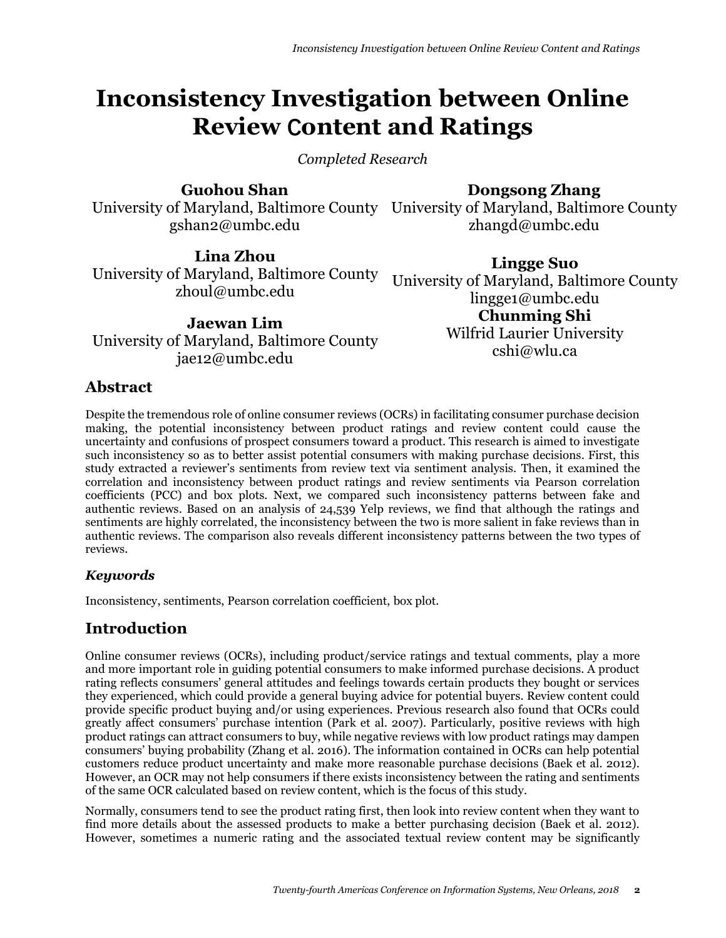# **Inconsistency Investigation between Online Review Content and Ratings**

*Completed Research*

## **Guohou Shan**

University of Maryland, Baltimore County University of Maryland, Baltimore County gshan2@umbc.edu

**Dongsong Zhang**

zhangd@umbc.edu

**Lina Zhou** University of Maryland, Baltimore County zhoul@umbc.edu

**Jaewan Lim** University of Maryland, Baltimore County jae12@umbc.edu

**Lingge Suo** University of Maryland, Baltimore County lingge1@umbc.edu **Chunming Shi** Wilfrid Laurier University cshi@wlu.ca

# **Abstract**

Despite the tremendous role of online consumer reviews (OCRs) in facilitating consumer purchase decision making, the potential inconsistency between product ratings and review content could cause the uncertainty and confusions of prospect consumers toward a product. This research is aimed to investigate such inconsistency so as to better assist potential consumers with making purchase decisions. First, this study extracted a reviewer's sentiments from review text via sentiment analysis. Then, it examined the correlation and inconsistency between product ratings and review sentiments via Pearson correlation coefficients (PCC) and box plots. Next, we compared such inconsistency patterns between fake and authentic reviews. Based on an analysis of 24,539 Yelp reviews, we find that although the ratings and sentiments are highly correlated, the inconsistency between the two is more salient in fake reviews than in authentic reviews. The comparison also reveals different inconsistency patterns between the two types of reviews.

# *Keywords*

Inconsistency, sentiments, Pearson correlation coefficient, box plot.

# **Introduction**

Online consumer reviews (OCRs), including product/service ratings and textual comments, play a more and more important role in guiding potential consumers to make informed purchase decisions. A product rating reflects consumers' general attitudes and feelings towards certain products they bought or services they experienced, which could provide a general buying advice for potential buyers. Review content could provide specific product buying and/or using experiences. Previous research also found that OCRs could greatly affect consumers' purchase intention (Park et al. 2007). Particularly, positive reviews with high product ratings can attract consumers to buy, while negative reviews with low product ratings may dampen consumers' buying probability (Zhang et al. 2016). The information contained in OCRs can help potential customers reduce product uncertainty and make more reasonable purchase decisions (Baek et al. 2012). However, an OCR may not help consumers if there exists inconsistency between the rating and sentiments of the same OCR calculated based on review content, which is the focus of this study.

Normally, consumers tend to see the product rating first, then look into review content when they want to find more details about the assessed products to make a better purchasing decision (Baek et al. 2012). However, sometimes a numeric rating and the associated textual review content may be significantly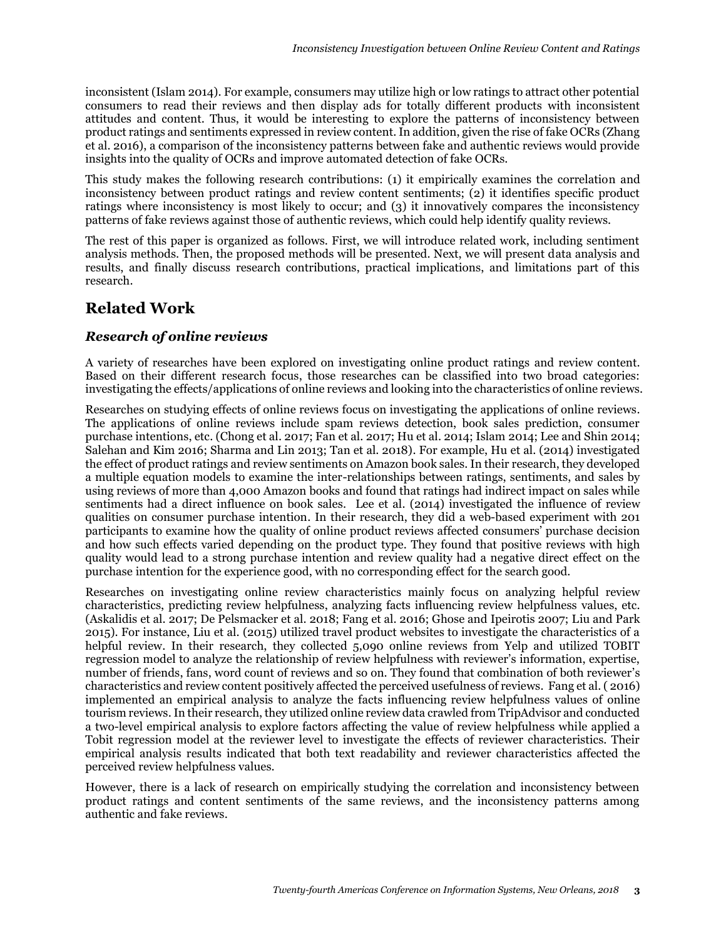inconsistent (Islam 2014). For example, consumers may utilize high or low ratings to attract other potential consumers to read their reviews and then display ads for totally different products with inconsistent attitudes and content. Thus, it would be interesting to explore the patterns of inconsistency between product ratings and sentiments expressed in review content. In addition, given the rise of fake OCRs (Zhang et al. 2016), a comparison of the inconsistency patterns between fake and authentic reviews would provide insights into the quality of OCRs and improve automated detection of fake OCRs.

This study makes the following research contributions: (1) it empirically examines the correlation and inconsistency between product ratings and review content sentiments; (2) it identifies specific product ratings where inconsistency is most likely to occur; and (3) it innovatively compares the inconsistency patterns of fake reviews against those of authentic reviews, which could help identify quality reviews.

The rest of this paper is organized as follows. First, we will introduce related work, including sentiment analysis methods. Then, the proposed methods will be presented. Next, we will present data analysis and results, and finally discuss research contributions, practical implications, and limitations part of this research.

# **Related Work**

#### *Research of online reviews*

A variety of researches have been explored on investigating online product ratings and review content. Based on their different research focus, those researches can be classified into two broad categories: investigating the effects/applications of online reviews and looking into the characteristics of online reviews.

Researches on studying effects of online reviews focus on investigating the applications of online reviews. The applications of online reviews include spam reviews detection, book sales prediction, consumer purchase intentions, etc. (Chong et al. 2017; Fan et al. 2017; Hu et al. 2014; Islam 2014; Lee and Shin 2014; Salehan and Kim 2016; Sharma and Lin 2013; Tan et al. 2018). For example, Hu et al. (2014) investigated the effect of product ratings and review sentiments on Amazon book sales. In their research, they developed a multiple equation models to examine the inter-relationships between ratings, sentiments, and sales by using reviews of more than 4,000 Amazon books and found that ratings had indirect impact on sales while sentiments had a direct influence on book sales. Lee et al. (2014) investigated the influence of review qualities on consumer purchase intention. In their research, they did a web-based experiment with 201 participants to examine how the quality of online product reviews affected consumers' purchase decision and how such effects varied depending on the product type. They found that positive reviews with high quality would lead to a strong purchase intention and review quality had a negative direct effect on the purchase intention for the experience good, with no corresponding effect for the search good.

Researches on investigating online review characteristics mainly focus on analyzing helpful review characteristics, predicting review helpfulness, analyzing facts influencing review helpfulness values, etc. (Askalidis et al. 2017; De Pelsmacker et al. 2018; Fang et al. 2016; Ghose and Ipeirotis 2007; Liu and Park 2015). For instance, Liu et al. (2015) utilized travel product websites to investigate the characteristics of a helpful review. In their research, they collected 5,090 online reviews from Yelp and utilized TOBIT regression model to analyze the relationship of review helpfulness with reviewer's information, expertise, number of friends, fans, word count of reviews and so on. They found that combination of both reviewer's characteristics and review content positively affected the perceived usefulness of reviews. Fang et al. ( 2016) implemented an empirical analysis to analyze the facts influencing review helpfulness values of online tourism reviews. In their research, they utilized online review data crawled from TripAdvisor and conducted a two-level empirical analysis to explore factors affecting the value of review helpfulness while applied a Tobit regression model at the reviewer level to investigate the effects of reviewer characteristics. Their empirical analysis results indicated that both text readability and reviewer characteristics affected the perceived review helpfulness values.

However, there is a lack of research on empirically studying the correlation and inconsistency between product ratings and content sentiments of the same reviews, and the inconsistency patterns among authentic and fake reviews.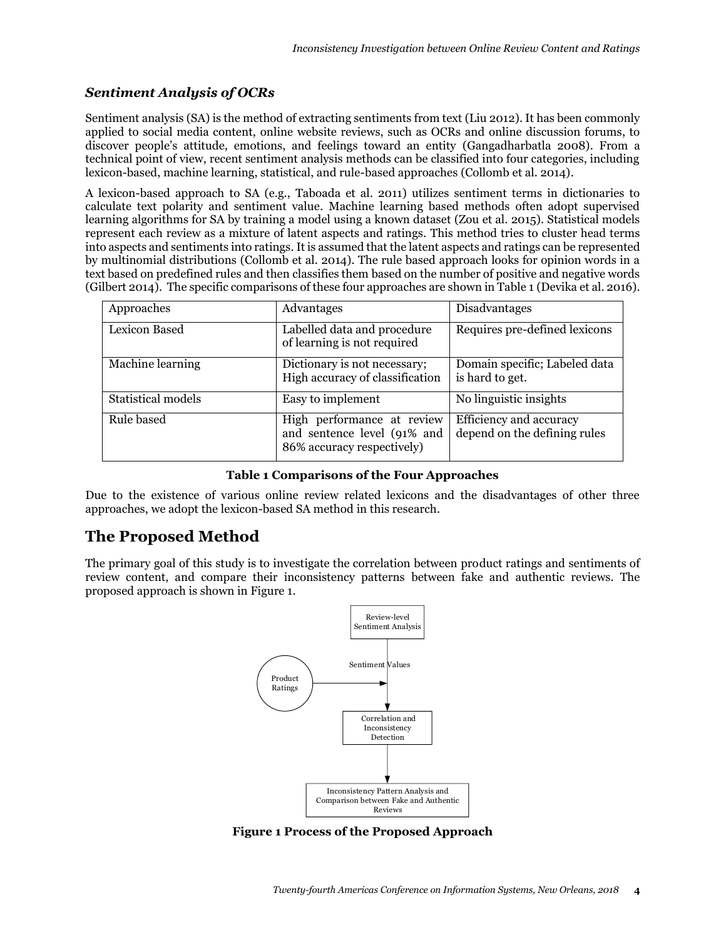## *Sentiment Analysis of OCRs*

Sentiment analysis (SA) is the method of extracting sentiments from text (Liu 2012). It has been commonly applied to social media content, online website reviews, such as OCRs and online discussion forums, to discover people's attitude, emotions, and feelings toward an entity (Gangadharbatla 2008). From a technical point of view, recent sentiment analysis methods can be classified into four categories, including lexicon-based, machine learning, statistical, and rule-based approaches (Collomb et al. 2014).

A lexicon-based approach to SA (e.g., Taboada et al. 2011) utilizes sentiment terms in dictionaries to calculate text polarity and sentiment value. Machine learning based methods often adopt supervised learning algorithms for SA by training a model using a known dataset (Zou et al. 2015). Statistical models represent each review as a mixture of latent aspects and ratings. This method tries to cluster head terms into aspects and sentiments into ratings. It is assumed that the latent aspects and ratings can be represented by multinomial distributions (Collomb et al. 2014). The rule based approach looks for opinion words in a text based on predefined rules and then classifies them based on the number of positive and negative words (Gilbert 2014). The specific comparisons of these four approaches are shown in Table 1 (Devika et al. 2016).

| Approaches                | Advantages                                                                              | Disadvantages                                           |
|---------------------------|-----------------------------------------------------------------------------------------|---------------------------------------------------------|
| Lexicon Based             | Labelled data and procedure<br>of learning is not required                              | Requires pre-defined lexicons                           |
| Machine learning          | Dictionary is not necessary;<br>High accuracy of classification                         | Domain specific; Labeled data<br>is hard to get.        |
| <b>Statistical models</b> | Easy to implement                                                                       | No linguistic insights                                  |
| Rule based                | High performance at review<br>and sentence level (91% and<br>86% accuracy respectively) | Efficiency and accuracy<br>depend on the defining rules |

#### **Table 1 Comparisons of the Four Approaches**

Due to the existence of various online review related lexicons and the disadvantages of other three approaches, we adopt the lexicon-based SA method in this research.

# **The Proposed Method**

The primary goal of this study is to investigate the correlation between product ratings and sentiments of review content, and compare their inconsistency patterns between fake and authentic reviews. The proposed approach is shown in Figure 1.



**Figure 1 Process of the Proposed Approach**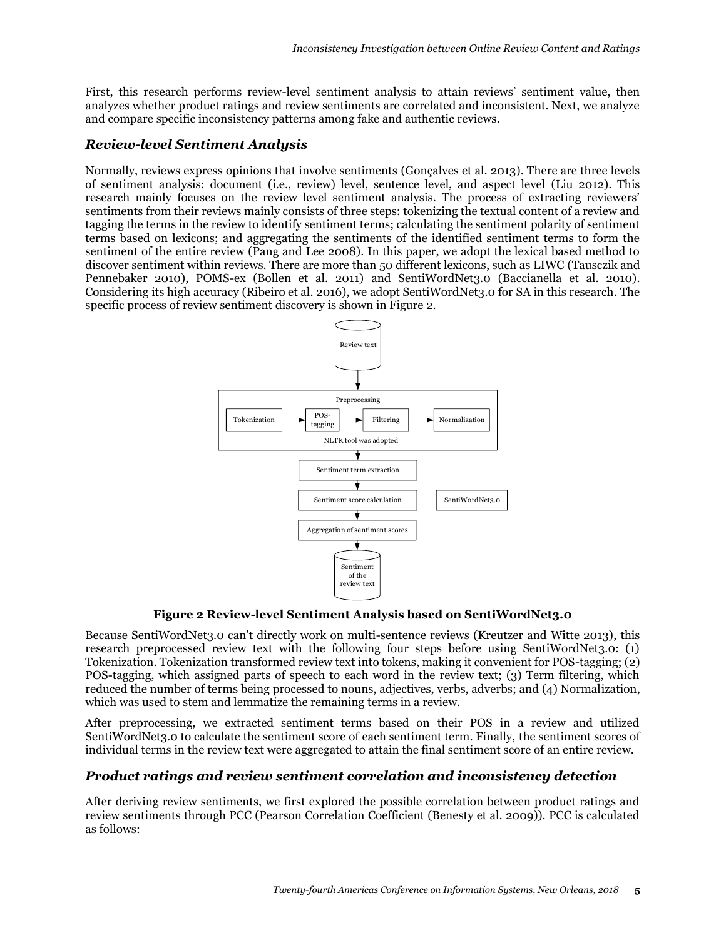First, this research performs review-level sentiment analysis to attain reviews' sentiment value, then analyzes whether product ratings and review sentiments are correlated and inconsistent. Next, we analyze and compare specific inconsistency patterns among fake and authentic reviews.

## *Review-level Sentiment Analysis*

Normally, reviews express opinions that involve sentiments (Gonçalves et al. 2013). There are three levels of sentiment analysis: document (i.e., review) level, sentence level, and aspect level (Liu 2012). This research mainly focuses on the review level sentiment analysis. The process of extracting reviewers' sentiments from their reviews mainly consists of three steps: tokenizing the textual content of a review and tagging the terms in the review to identify sentiment terms; calculating the sentiment polarity of sentiment terms based on lexicons; and aggregating the sentiments of the identified sentiment terms to form the sentiment of the entire review (Pang and Lee 2008). In this paper, we adopt the lexical based method to discover sentiment within reviews. There are more than 50 different lexicons, such as LIWC (Tausczik and Pennebaker 2010), POMS-ex (Bollen et al. 2011) and SentiWordNet3.0 (Baccianella et al. 2010). Considering its high accuracy (Ribeiro et al. 2016), we adopt SentiWordNet3.0 for SA in this research. The specific process of review sentiment discovery is shown in Figure 2.



#### **Figure 2 Review-level Sentiment Analysis based on SentiWordNet3.0**

Because SentiWordNet3.0 can't directly work on multi-sentence reviews (Kreutzer and Witte 2013), this research preprocessed review text with the following four steps before using SentiWordNet3.0: (1) Tokenization. Tokenization transformed review text into tokens, making it convenient for POS-tagging; (2) POS-tagging, which assigned parts of speech to each word in the review text; (3) Term filtering, which reduced the number of terms being processed to nouns, adjectives, verbs, adverbs; and (4) Normalization, which was used to stem and lemmatize the remaining terms in a review.

After preprocessing, we extracted sentiment terms based on their POS in a review and utilized SentiWordNet3.0 to calculate the sentiment score of each sentiment term. Finally, the sentiment scores of individual terms in the review text were aggregated to attain the final sentiment score of an entire review.

#### *Product ratings and review sentiment correlation and inconsistency detection*

After deriving review sentiments, we first explored the possible correlation between product ratings and review sentiments through PCC (Pearson Correlation Coefficient (Benesty et al. 2009)). PCC is calculated as follows: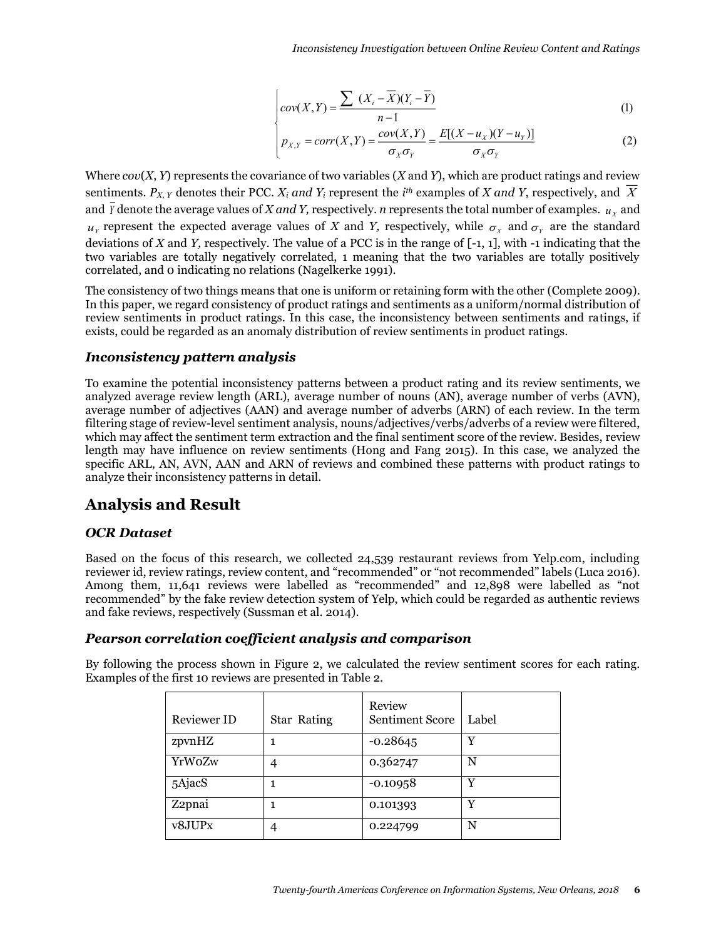$$
\begin{cases}\n\text{cov}(X,Y) = \frac{\sum (X_i - \overline{X})(Y_i - \overline{Y})}{n-1}\n\end{cases}
$$
\n(1)

$$
p_{X,Y} = corr(X,Y) = \frac{cov(X,Y)}{\sigma_X \sigma_Y} = \frac{E[(X - u_X)(Y - u_Y)]}{\sigma_X \sigma_Y}
$$
 (2)

Where *cov*(*X*, *Y*) represents the covariance of two variables (*X* and *Y*), which are product ratings and review sentiments. *PX*, *<sup>Y</sup>* denotes their PCC. *Xi and Yi* represent the *i th* examples of *X and Y*, respectively, and *X* and *Y* denote the average values of *X and Y,* respectively.  $n$  represents the total number of examples.  $u_{\scriptscriptstyle X}$  and  $u_Y$  represent the expected average values of *X* and *Y*, respectively, while  $\sigma_X$  and  $\sigma_Y$  are the standard deviations of *X* and *Y,* respectively. The value of a PCC is in the range of [-1, 1], with -1 indicating that the two variables are totally negatively correlated, 1 meaning that the two variables are totally positively correlated, and 0 indicating no relations (Nagelkerke 1991).

The consistency of two things means that one is uniform or retaining form with the other (Complete 2009). In this paper, we regard consistency of product ratings and sentiments as a uniform/normal distribution of review sentiments in product ratings. In this case, the inconsistency between sentiments and ratings, if exists, could be regarded as an anomaly distribution of review sentiments in product ratings.

#### *Inconsistency pattern analysis*

To examine the potential inconsistency patterns between a product rating and its review sentiments, we analyzed average review length (ARL), average number of nouns (AN), average number of verbs (AVN), average number of adjectives (AAN) and average number of adverbs (ARN) of each review. In the term filtering stage of review-level sentiment analysis, nouns/adjectives/verbs/adverbs of a review were filtered, which may affect the sentiment term extraction and the final sentiment score of the review. Besides, review length may have influence on review sentiments (Hong and Fang 2015). In this case, we analyzed the specific ARL, AN, AVN, AAN and ARN of reviews and combined these patterns with product ratings to analyze their inconsistency patterns in detail.

# **Analysis and Result**

## *OCR Dataset*

Based on the focus of this research, we collected 24,539 restaurant reviews from Yelp.com, including reviewer id, review ratings, review content, and "recommended" or "not recommended" labels (Luca 2016). Among them, 11,641 reviews were labelled as "recommended" and 12,898 were labelled as "not recommended" by the fake review detection system of Yelp, which could be regarded as authentic reviews and fake reviews, respectively (Sussman et al. 2014).

## *Pearson correlation coefficient analysis and comparison*

By following the process shown in Figure 2, we calculated the review sentiment scores for each rating. Examples of the first 10 reviews are presented in Table 2.

| Reviewer ID | <b>Star Rating</b> | Review<br><b>Sentiment Score</b> | Label |
|-------------|--------------------|----------------------------------|-------|
| zpvnHZ      |                    | $-0.28645$                       | Y     |
| YrWoZw      | 4                  | 0.362747                         | N     |
| 5AjacS      |                    | $-0.10958$                       | Y     |
| Z2pnai      |                    | 0.101393                         | Y     |
| v8JUPx      | 4                  | 0.224799                         | N     |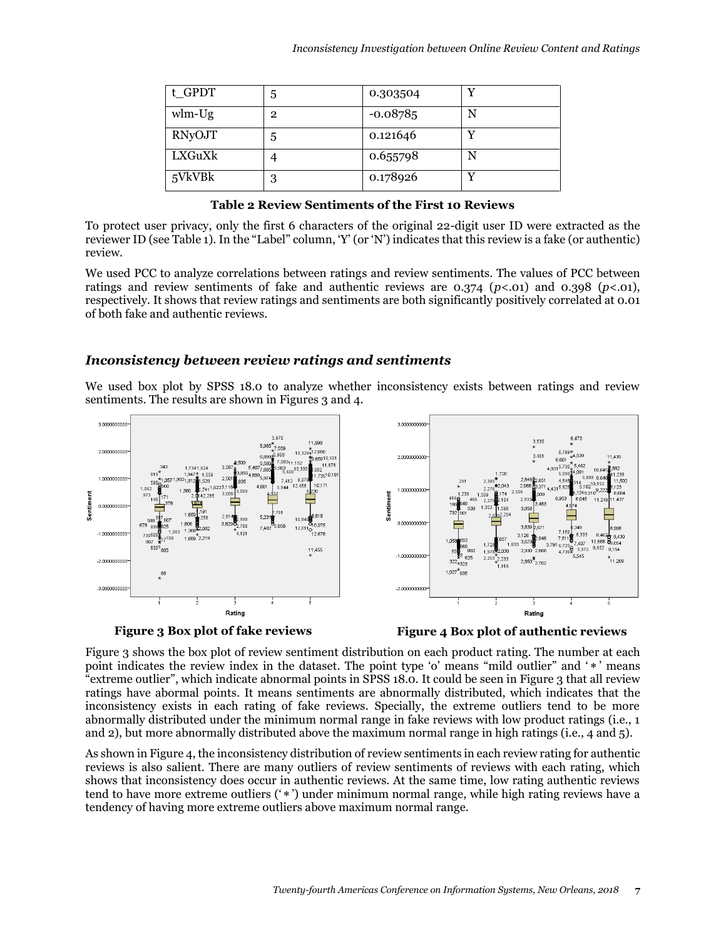| t_GPDT   | 5              | 0.303504   | $\overline{\mathbf{v}}$ |
|----------|----------------|------------|-------------------------|
| $wlm-Ug$ | $\overline{2}$ | $-0.08785$ | N                       |
| RNyOJT   | 5              | 0.121646   | v                       |
| LXGuXk   | 4              | 0.655798   | N                       |
| 5VkVBk   | 3              | 0.178926   | v                       |

**Table 2 Review Sentiments of the First 10 Reviews** 

To protect user privacy, only the first 6 characters of the original 22-digit user ID were extracted as the reviewer ID (see Table 1). In the "Label" column, 'Y' (or 'N') indicates that this review is a fake (or authentic) review.

We used PCC to analyze correlations between ratings and review sentiments. The values of PCC between ratings and review sentiments of fake and authentic reviews are 0.374 (*p<*.01) and 0.398 (*p<*.01), respectively. It shows that review ratings and sentiments are both significantly positively correlated at 0.01 of both fake and authentic reviews.

## *Inconsistency between review ratings and sentiments*

We used box plot by SPSS 18.0 to analyze whether inconsistency exists between ratings and review sentiments. The results are shown in Figures 3 and 4.





**Figure 3 Box plot of fake reviews Figure 4 Box plot of authentic reviews**

Figure 3 shows the box plot of review sentiment distribution on each product rating. The number at each point indicates the review index in the dataset. The point type 'o' means "mild outlier" and '\*' means "extreme outlier", which indicate abnormal points in SPSS 18.0. It could be seen in Figure 3 that all review ratings have abormal points. It means sentiments are abnormally distributed, which indicates that the inconsistency exists in each rating of fake reviews. Specially, the extreme outliers tend to be more abnormally distributed under the minimum normal range in fake reviews with low product ratings (i.e., 1 and 2), but more abnormally distributed above the maximum normal range in high ratings (i.e., 4 and 5).

As shown in Figure 4, the inconsistency distribution of review sentiments in each review rating for authentic reviews is also salient. There are many outliers of review sentiments of reviews with each rating, which shows that inconsistency does occur in authentic reviews. At the same time, low rating authentic reviews tend to have more extreme outliers ('\*') under minimum normal range, while high rating reviews have a tendency of having more extreme outliers above maximum normal range.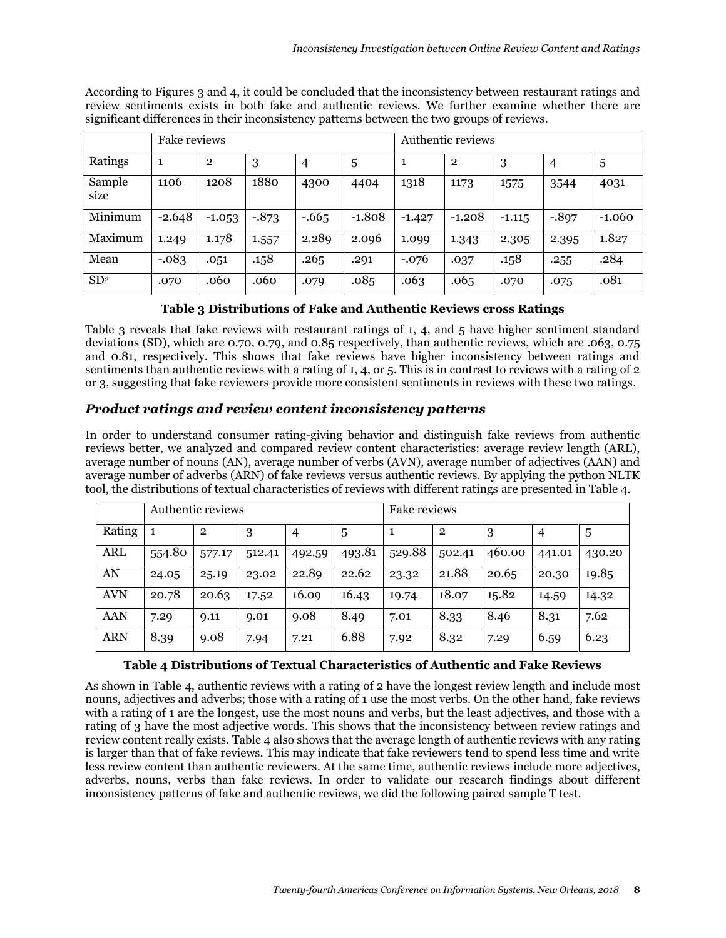According to Figures 3 and 4, it could be concluded that the inconsistency between restaurant ratings and review sentiments exists in both fake and authentic reviews. We further examine whether there are significant differences in their inconsistency patterns between the two groups of reviews.

|                 | Fake reviews |                |          |                | Authentic reviews |          |              |          |          |          |
|-----------------|--------------|----------------|----------|----------------|-------------------|----------|--------------|----------|----------|----------|
| Ratings         | 1            | $\overline{2}$ | 3        | $\overline{4}$ | 5                 | 1        | $\mathbf{2}$ | 3        | 4        | 5        |
| Sample<br>size  | 1106         | 1208           | 1880     | 4300           | 4404              | 1318     | 1173         | 1575     | 3544     | 4031     |
| Minimum         | $-2.648$     | $-1.053$       | $-0.873$ | $-.665$        | $-1.808$          | $-1.427$ | $-1.208$     | $-1.115$ | $-0.897$ | $-1.060$ |
| Maximum         | 1.249        | 1.178          | 1.557    | 2.289          | 2.096             | 1.099    | 1.343        | 2.305    | 2.395    | 1.827    |
| Mean            | $-.083$      | .051           | .158     | .265           | .291              | $-.076$  | .037         | .158     | .255     | .284     |
| SD <sup>2</sup> | .070         | .060           | .060     | .079           | .085              | .063     | .065         | .070     | .075     | .081     |

**Table 3 Distributions of Fake and Authentic Reviews cross Ratings**

Table 3 reveals that fake reviews with restaurant ratings of 1, 4, and 5 have higher sentiment standard deviations (SD), which are 0.70, 0.79, and 0.85 respectively, than authentic reviews, which are .063, 0.75 and 0.81, respectively. This shows that fake reviews have higher inconsistency between ratings and sentiments than authentic reviews with a rating of 1, 4, or 5. This is in contrast to reviews with a rating of 2 or 3, suggesting that fake reviewers provide more consistent sentiments in reviews with these two ratings.

## *Product ratings and review content inconsistency patterns*

In order to understand consumer rating-giving behavior and distinguish fake reviews from authentic reviews better, we analyzed and compared review content characteristics: average review length (ARL), average number of nouns (AN), average number of verbs (AVN), average number of adjectives (AAN) and average number of adverbs (ARN) of fake reviews versus authentic reviews. By applying the python NLTK tool, the distributions of textual characteristics of reviews with different ratings are presented in Table 4.

|            | Authentic reviews |              |        |        |        | Fake reviews |                |        |        |        |
|------------|-------------------|--------------|--------|--------|--------|--------------|----------------|--------|--------|--------|
| Rating     | 1                 | $\mathbf{2}$ | 3      | 4      | 5      |              | $\overline{2}$ | 3      | 4      | 5      |
| <b>ARL</b> | 554.80            | 577.17       | 512.41 | 492.59 | 493.81 | 529.88       | 502.41         | 460.00 | 441.01 | 430.20 |
| AN         | 24.05             | 25.19        | 23.02  | 22.89  | 22.62  | 23.32        | 21.88          | 20.65  | 20.30  | 19.85  |
| <b>AVN</b> | 20.78             | 20.63        | 17.52  | 16.09  | 16.43  | 19.74        | 18.07          | 15.82  | 14.59  | 14.32  |
| <b>AAN</b> | 7.29              | 9.11         | 9.01   | 9.08   | 8.49   | 7.01         | 8.33           | 8.46   | 8.31   | 7.62   |
| <b>ARN</b> | 8.39              | 9.08         | 7.94   | 7.21   | 6.88   | 7.92         | 8.32           | 7.29   | 6.59   | 6.23   |

#### **Table 4 Distributions of Textual Characteristics of Authentic and Fake Reviews**

As shown in Table 4, authentic reviews with a rating of 2 have the longest review length and include most nouns, adjectives and adverbs; those with a rating of 1 use the most verbs. On the other hand, fake reviews with a rating of 1 are the longest, use the most nouns and verbs, but the least adjectives, and those with a rating of 3 have the most adjective words. This shows that the inconsistency between review ratings and review content really exists. Table 4 also shows that the average length of authentic reviews with any rating is larger than that of fake reviews. This may indicate that fake reviewers tend to spend less time and write less review content than authentic reviewers. At the same time, authentic reviews include more adjectives, adverbs, nouns, verbs than fake reviews. In order to validate our research findings about different inconsistency patterns of fake and authentic reviews, we did the following paired sample T test.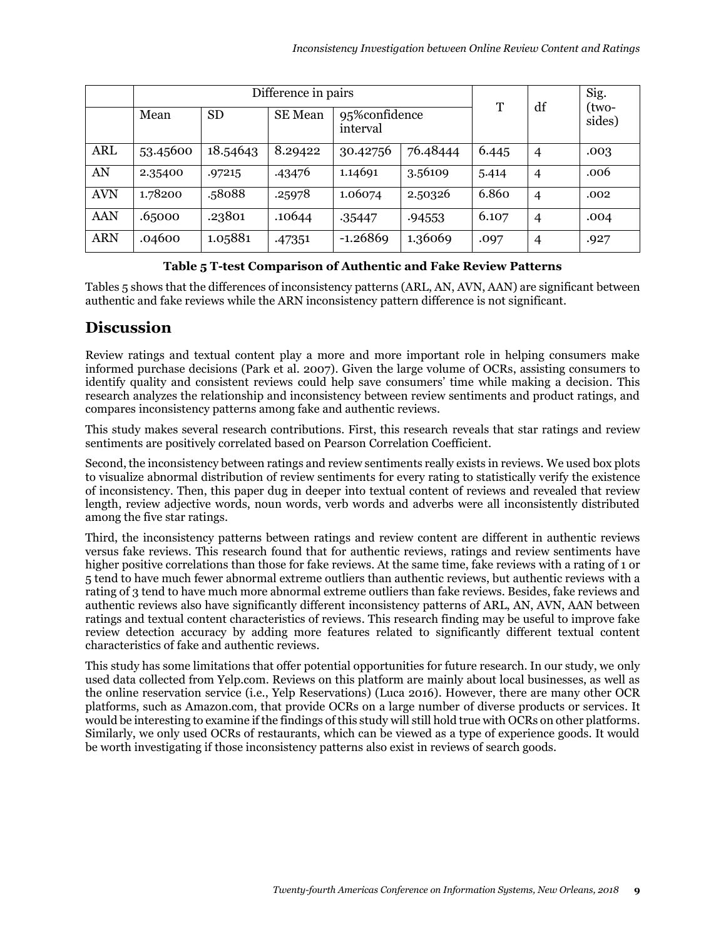|            |          | T         | df             | Sig.<br>(two-              |         |       |                |        |
|------------|----------|-----------|----------------|----------------------------|---------|-------|----------------|--------|
|            | Mean     | <b>SD</b> | <b>SE</b> Mean | 95% confidence<br>interval |         |       |                | sides) |
| <b>ARL</b> | 53.45600 | 18.54643  | 8.29422        | 76.48444<br>30.42756       |         | 6.445 | $\overline{4}$ | .003   |
| AN         | 2.35400  | .97215    | .43476         | 3.56109<br>1.14691         |         | 5.414 | $\overline{4}$ | .006   |
| <b>AVN</b> | 1.78200  | .58088    | .25978         | 1.06074                    | 2.50326 | 6.860 | $\overline{4}$ | .002   |
| <b>AAN</b> | .65000   | .23801    | .10644         | .35447                     | .94553  | 6.107 | $\overline{4}$ | .004   |
| <b>ARN</b> | .04600   | 1.05881   | .47351         | $-1.26869$                 | 1.36069 | .097  | $\overline{4}$ | .927   |

#### **Table 5 T-test Comparison of Authentic and Fake Review Patterns**

Tables 5 shows that the differences of inconsistency patterns (ARL, AN, AVN, AAN) are significant between authentic and fake reviews while the ARN inconsistency pattern difference is not significant.

# **Discussion**

Review ratings and textual content play a more and more important role in helping consumers make informed purchase decisions (Park et al. 2007). Given the large volume of OCRs, assisting consumers to identify quality and consistent reviews could help save consumers' time while making a decision. This research analyzes the relationship and inconsistency between review sentiments and product ratings, and compares inconsistency patterns among fake and authentic reviews.

This study makes several research contributions. First, this research reveals that star ratings and review sentiments are positively correlated based on Pearson Correlation Coefficient.

Second, the inconsistency between ratings and review sentiments really exists in reviews. We used box plots to visualize abnormal distribution of review sentiments for every rating to statistically verify the existence of inconsistency. Then, this paper dug in deeper into textual content of reviews and revealed that review length, review adjective words, noun words, verb words and adverbs were all inconsistently distributed among the five star ratings.

Third, the inconsistency patterns between ratings and review content are different in authentic reviews versus fake reviews. This research found that for authentic reviews, ratings and review sentiments have higher positive correlations than those for fake reviews. At the same time, fake reviews with a rating of 1 or 5 tend to have much fewer abnormal extreme outliers than authentic reviews, but authentic reviews with a rating of 3 tend to have much more abnormal extreme outliers than fake reviews. Besides, fake reviews and authentic reviews also have significantly different inconsistency patterns of ARL, AN, AVN, AAN between ratings and textual content characteristics of reviews. This research finding may be useful to improve fake review detection accuracy by adding more features related to significantly different textual content characteristics of fake and authentic reviews.

This study has some limitations that offer potential opportunities for future research. In our study, we only used data collected from Yelp.com. Reviews on this platform are mainly about local businesses, as well as the online reservation service (i.e., Yelp Reservations) (Luca 2016). However, there are many other OCR platforms, such as Amazon.com, that provide OCRs on a large number of diverse products or services. It would be interesting to examine if the findings of this study will still hold true with OCRs on other platforms. Similarly, we only used OCRs of restaurants, which can be viewed as a type of experience goods. It would be worth investigating if those inconsistency patterns also exist in reviews of search goods.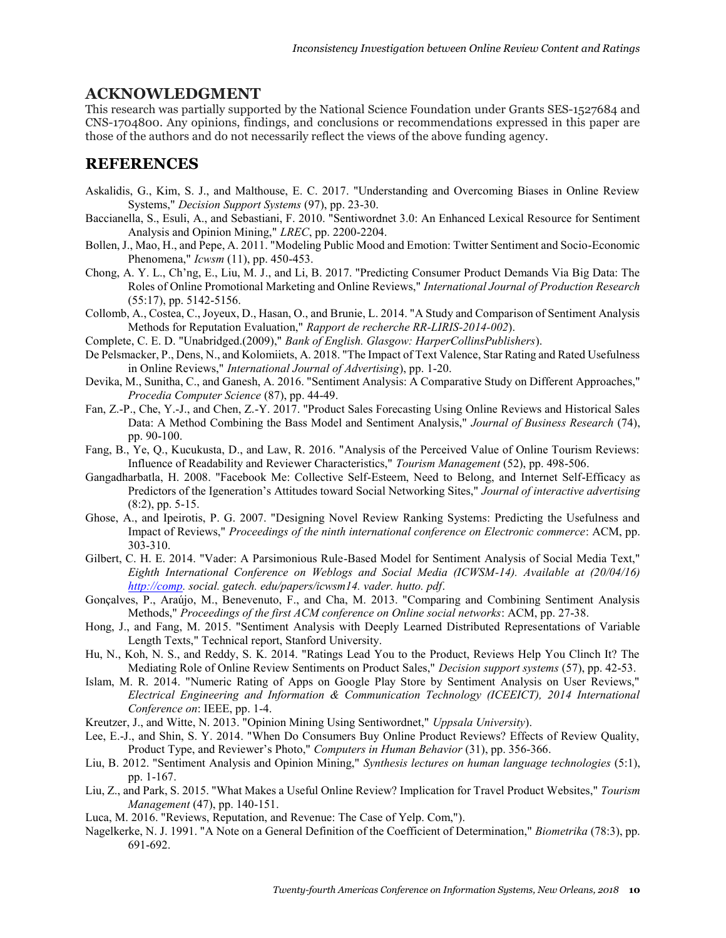#### **ACKNOWLEDGMENT**

This research was partially supported by the National Science Foundation under Grants SES-1527684 and CNS-1704800. Any opinions, findings, and conclusions or recommendations expressed in this paper are those of the authors and do not necessarily reflect the views of the above funding agency.

## **REFERENCES**

- Askalidis, G., Kim, S. J., and Malthouse, E. C. 2017. "Understanding and Overcoming Biases in Online Review Systems," *Decision Support Systems* (97), pp. 23-30.
- Baccianella, S., Esuli, A., and Sebastiani, F. 2010. "Sentiwordnet 3.0: An Enhanced Lexical Resource for Sentiment Analysis and Opinion Mining," *LREC*, pp. 2200-2204.
- Bollen, J., Mao, H., and Pepe, A. 2011. "Modeling Public Mood and Emotion: Twitter Sentiment and Socio-Economic Phenomena," *Icwsm* (11), pp. 450-453.
- Chong, A. Y. L., Ch'ng, E., Liu, M. J., and Li, B. 2017. "Predicting Consumer Product Demands Via Big Data: The Roles of Online Promotional Marketing and Online Reviews," *International Journal of Production Research* (55:17), pp. 5142-5156.
- Collomb, A., Costea, C., Joyeux, D., Hasan, O., and Brunie, L. 2014. "A Study and Comparison of Sentiment Analysis Methods for Reputation Evaluation," *Rapport de recherche RR-LIRIS-2014-002*).
- Complete, C. E. D. "Unabridged.(2009)," *Bank of English. Glasgow: HarperCollinsPublishers*).
- De Pelsmacker, P., Dens, N., and Kolomiiets, A. 2018. "The Impact of Text Valence, Star Rating and Rated Usefulness in Online Reviews," *International Journal of Advertising*), pp. 1-20.
- Devika, M., Sunitha, C., and Ganesh, A. 2016. "Sentiment Analysis: A Comparative Study on Different Approaches," *Procedia Computer Science* (87), pp. 44-49.
- Fan, Z.-P., Che, Y.-J., and Chen, Z.-Y. 2017. "Product Sales Forecasting Using Online Reviews and Historical Sales Data: A Method Combining the Bass Model and Sentiment Analysis," *Journal of Business Research* (74), pp. 90-100.
- Fang, B., Ye, Q., Kucukusta, D., and Law, R. 2016. "Analysis of the Perceived Value of Online Tourism Reviews: Influence of Readability and Reviewer Characteristics," *Tourism Management* (52), pp. 498-506.
- Gangadharbatla, H. 2008. "Facebook Me: Collective Self-Esteem, Need to Belong, and Internet Self-Efficacy as Predictors of the Igeneration's Attitudes toward Social Networking Sites," *Journal of interactive advertising* (8:2), pp. 5-15.
- Ghose, A., and Ipeirotis, P. G. 2007. "Designing Novel Review Ranking Systems: Predicting the Usefulness and Impact of Reviews," *Proceedings of the ninth international conference on Electronic commerce*: ACM, pp. 303-310.
- Gilbert, C. H. E. 2014. "Vader: A Parsimonious Rule-Based Model for Sentiment Analysis of Social Media Text," *Eighth International Conference on Weblogs and Social Media (ICWSM-14). Available at (20/04/16) [http://comp.](http://comp/) social. gatech. edu/papers/icwsm14. vader. hutto. pdf*.
- Gonçalves, P., Araújo, M., Benevenuto, F., and Cha, M. 2013. "Comparing and Combining Sentiment Analysis Methods," *Proceedings of the first ACM conference on Online social networks*: ACM, pp. 27-38.
- Hong, J., and Fang, M. 2015. "Sentiment Analysis with Deeply Learned Distributed Representations of Variable Length Texts," Technical report, Stanford University.
- Hu, N., Koh, N. S., and Reddy, S. K. 2014. "Ratings Lead You to the Product, Reviews Help You Clinch It? The Mediating Role of Online Review Sentiments on Product Sales," *Decision support systems* (57), pp. 42-53.
- Islam, M. R. 2014. "Numeric Rating of Apps on Google Play Store by Sentiment Analysis on User Reviews," *Electrical Engineering and Information & Communication Technology (ICEEICT), 2014 International Conference on*: IEEE, pp. 1-4.
- Kreutzer, J., and Witte, N. 2013. "Opinion Mining Using Sentiwordnet," *Uppsala University*).
- Lee, E.-J., and Shin, S. Y. 2014. "When Do Consumers Buy Online Product Reviews? Effects of Review Quality, Product Type, and Reviewer's Photo," *Computers in Human Behavior* (31), pp. 356-366.
- Liu, B. 2012. "Sentiment Analysis and Opinion Mining," *Synthesis lectures on human language technologies* (5:1), pp. 1-167.
- Liu, Z., and Park, S. 2015. "What Makes a Useful Online Review? Implication for Travel Product Websites," *Tourism Management* (47), pp. 140-151.
- Luca, M. 2016. "Reviews, Reputation, and Revenue: The Case of Yelp. Com,").
- Nagelkerke, N. J. 1991. "A Note on a General Definition of the Coefficient of Determination," *Biometrika* (78:3), pp. 691-692.